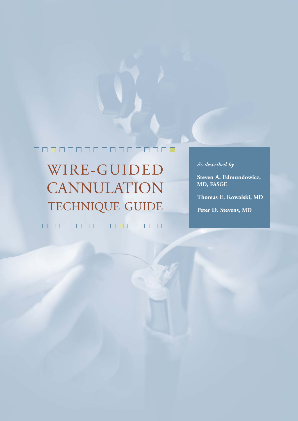#### 00000000000 **DROOD**

WIRE-GUIDED CANNULATION TECHNIQUE GUIDE 0000000000000000

### *As described by*

**Steven A. Edmundowicz, MD, FASGE**

**Thomas E. Kowalski, MD**

**Peter D. Stevens, MD**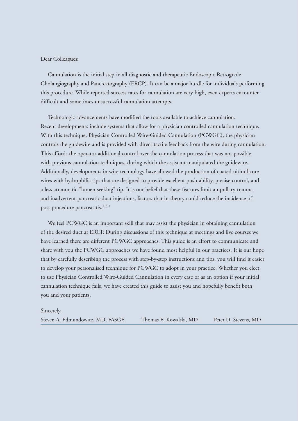#### Dear Colleagues:

Cannulation is the initial step in all diagnostic and therapeutic Endoscopic Retrograde Cholangiography and Pancreatography (ERCP). It can be a major hurdle for individuals performing this procedure. While reported success rates for cannulation are very high, even experts encounter difficult and sometimes unsuccessful cannulation attempts.

Technologic advancements have modified the tools available to achieve cannulation. Recent developments include systems that allow for a physician controlled cannulation technique. With this technique, Physician Controlled Wire-Guided Cannulation (PCWGC), the physician controls the guidewire and is provided with direct tactile feedback from the wire during cannulation. This affords the operator additional control over the cannulation process that was not possible with previous cannulation techniques, during which the assistant manipulated the guidewire. Additionally, developments in wire technology have allowed the production of coated nitinol core wires with hydrophilic tips that are designed to provide excellent push-ability, precise control, and a less atraumatic "lumen seeking" tip. It is our belief that these features limit ampullary trauma and inadvertent pancreatic duct injections, factors that in theory could reduce the incidence of post procedure pancreatitis.<sup>2, 3, 7</sup>

We feel PCWGC is an important skill that may assist the physician in obtaining cannulation of the desired duct at ERCP. During discussions of this technique at meetings and live courses we have learned there are different PCWGC approaches. This guide is an effort to communicate and share with you the PCWGC approaches we have found most helpful in our practices. It is our hope that by carefully describing the process with step-by-step instructions and tips, you will find it easier to develop your personalised technique for PCWGC to adopt in your practice. Whether you elect to use Physician Controlled Wire-Guided Cannulation in every case or as an option if your initial cannulation technique fails, we have created this guide to assist you and hopefully benefit both you and your patients.

#### Sincerely,

Steven A. Edmundowicz, MD, FASGE Thomas E. Kowalski, MD Peter D. Stevens, MD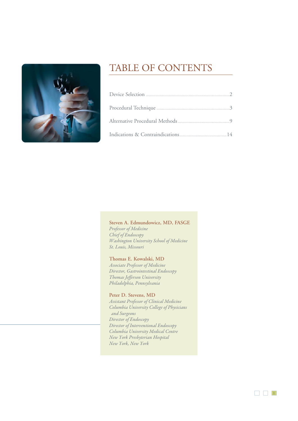

## TABLE OF CONTENTS

#### **Steven A. Edmundowicz, MD, FASGE** Professor of Medicine Chief of Endoscopy Washington University School of Medicine St. Louis, Missouri

#### **Thomas E. Kowalski, MD**

Associate Professor of Medicine Director, Gastrointestinal Endoscopy Thomas Jefferson University Philadelphia, Pennsylvania

#### **Peter D. Stevens, MD**

Assistant Professor of Clinical Medicine Columbia University College of Physicians and Surgeons Director of Endoscopy Director of Interventional Endoscopy Columbia University Medical Centre New York Presbyterian Hospital New York, New York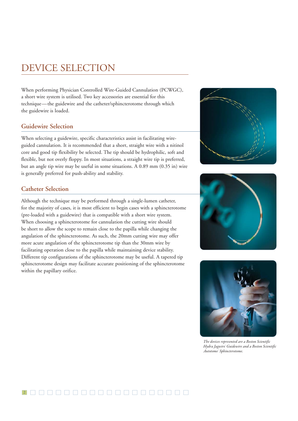## DEVICE SELECTION

When performing Physician Controlled Wire-Guided Cannulation (PCWGC), a short wire system is utilised. Two key accessories are essential for this technique—the guidewire and the catheter/sphincterotome through which the guidewire is loaded.

#### **Guidewire Selection**

When selecting a guidewire, specific characteristics assist in facilitating wireguided cannulation. It is recommended that a short, straight wire with a nitinol core and good tip flexibility be selected. The tip should be hydrophilic, soft and flexible, but not overly floppy. In most situations, a straight wire tip is preferred, but an angle tip wire may be useful in some situations. A 0.89 mm (0.35 in) wire is generally preferred for push-ability and stability.

#### **Catheter Selection**

Although the technique may be performed through a single-lumen catheter, for the majority of cases, it is most efficient to begin cases with a sphincterotome (pre-loaded with a guidewire) that is compatible with a short wire system. When choosing a sphincterotome for cannulation the cutting wire should be short to allow the scope to remain close to the papilla while changing the angulation of the sphincterotome. As such, the 20mm cutting wire may offer more acute angulation of the sphincterotome tip than the 30mm wire by facilitating operation close to the papilla while maintaining device stability. Different tip configurations of the sphincterotome may be useful. A tapered tip sphincterotome design may facilitate accurate positioning of the sphincterotome within the papillary orifice.







The devices represented are a Boston Scientific Hydra Jagwire® Guidewire and a Boston Scientific Autotome" Sphincterotome.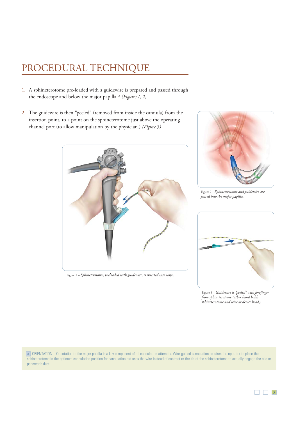## PROCEDURAL TECHNIQUE

- 1. A sphincterotome pre-loaded with a guidewire is prepared and passed through the endoscope and below the major papilla.<sup> $A$ </sup> (Figures 1, 2)
- 2. The guidewire is then "peeled" (removed from inside the cannula) from the insertion point, to a point on the sphincterotome just above the operating channel port (to allow manipulation by the physician.) (Figure 3)



Figure 1 – Sphincterotome, preloaded with guidewire, is inserted into scope.



Figure 2 – Sphincterotome and guidewire are passed into the major papilla.



Figure 3 – Guidewire is "peeled" with forefinger from sphincterotome (other hand holds sphincterotome and wire at device head).

ORIENTATION – Orientation to the major papilla is a key component of all cannulation attempts. Wire-guided cannulation requires the operator to place the **A** sphincterotome in the optimum cannulation position for cannulation but uses the wire instead of contrast or the tip of the sphincterotome to actually engage the bile or pancreatic duct.

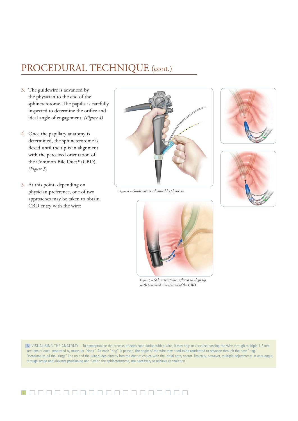## PROCEDURAL TECHNIQUE (cont.)

- 3. The guidewire is advanced by the physician to the end of the sphincterotome. The papilla is carefully inspected to determine the orifice and ideal angle of engagement. (Figure 4)
- 4. Once the papillary anatomy is determined, the sphincterotome is flexed until the tip is in alignment with the perceived orientation of the Common Bile Duct<sup>B</sup> (CBD). (Figure 5)
- 5. At this point, depending on physician preference, one of two approaches may be taken to obtain CBD entry with the wire:











VISUALISING THE ANATOMY – To conceptualise the process of deep cannulation with a wire, it may help to visualise passing the wire through multiple 1-2 mm **B**sections of duct, separated by muscular "rings." As each "ring" is passed, the angle of the wire may need to be reoriented to advance through the next "ring. Occasionally, all the "rings" line up and the wire slides directly into the duct of choice with the initial entry vector. Typically, however, multiple adjustments in wire angle, through scope and elevator positioning and flexing the sphincterotome, are necessary to achieve cannulation.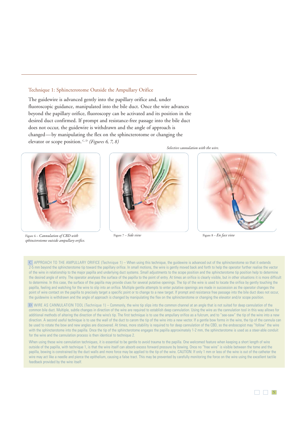#### Technique 1: Sphincterotome Outside the Ampullary Orifice

The guidewire is advanced gently into the papillary orifice and, under fluoroscopic guidance, manipulated into the bile duct. Once the wire advances beyond the papillary orifice, fluoroscopy can be activated and its position in the desired duct confirmed. If prompt and resistance-free passage into the bile duct does not occur, the guidewire is withdrawn and the angle of approach is changed—by manipulating the flex on the sphincterotome or changing the elevator or scope position.  $C, D$  (Figures 6, 7, 8)



Figure 6 – Cannulation of CBD with sphincterotome outside ampullary orifice.



Selective cannulation with the wire.



Figure  $7 - Side$  *view* Figure  $8 - En$  *face view* 

APPROACH TO THE AMPULLARY ORIFICE (Technique 1) – When using this technique, the guidewire is advanced out of the sphincterotome so that it extends **C** 2-5 mm beyond the sphincterotome tip toward the papillary orifice. In small motions, the wire is gently moved back and forth to help the operator further realise the vector of the wire in relationship to the major papilla and underlying duct systems. Small adjustments to the scope position and the sphincterotome tip position help to determine the desired angle of entry. The operator analyses the surface of the papilla to the point of entry. At times an orifice is clearly visible, but in other situations it is more difficult to determine. In this case, the surface of the papilla may provide clues for several putative openings. The tip of the wire is used to locate the orifice by gently touching the papilla, feeling and watching for the wire to slip into an orifice. Multiple gentle attempts to enter putative openings are made in succession as the operator changes the point of wire contact on the papilla to precisely target a specific point or to change to a new target. If prompt and resistance free passage into the bile duct does not occur, the guidewire is withdrawn and the angle of approach is changed by manipulating the flex on the sphincterotome or changing the elevator and/or scope position.

WIRE AS CANNULATION TOOL (Technique 1) – Commonly, the wire tip slips into the common channel at an angle that is not suited for deep cannulation of the **D**common bile duct. Multiple, subtle changes in direction of the wire are required to establish deep cannulation. Using the wire as the cannulation tool in this way allows for additional methods of altering the direction of the wire's tip. The first technique is to use the ampullary orifice as a fulcrum, and to "see-saw" the tip of the wire into a new direction. A second useful technique is to use the wall of the duct to carom the tip of the wire into a new vector. If a gentle bow forms in the wire, the tip of the cannula can be used to rotate the bow and new angles are discovered. At times, more stability is required to for deep cannulation of the CBD, so the endoscopist may "follow" the wire with the sphincterotome into the papilla. Once the tip of the sphincterotome engages the papilla approximately 1-2 mm, the sphincterotome is used as a steer-able conduit for the wire and the cannulation process is then identical to technique 2.

When using these wire cannulation techniques, it is essential to be gentle to avoid trauma to the papilla. One welcomed feature when keeping a short length of wire outside of the papilla, with technique 1, is that the wire itself can absorb excess forward pressure by bowing. Once no "free wire" is visible between the tome and the papilla, bowing is constrained by the duct walls and more force may be applied to the tip of the wire. CAUTION: If only 1 mm or less of the wire is out of the catheter the wire may act like a needle and pierce the epithelium, causing a false tract. This may be prevented by carefully monitoring the force on the wire using the excellent tactile feedback provided by the wire itself.

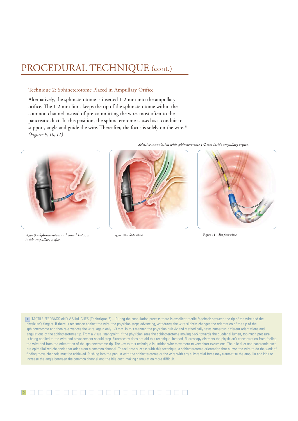## PROCEDURAL TECHNIQUE (cont.)

#### Technique 2: Sphincterotome Placed in Ampullary Orifice

Alternatively, the sphincterotome is inserted 1-2 mm into the ampullary orifice. The 1-2 mm limit keeps the tip of the sphincterotome within the common channel instead of pre-committing the wire, most often to the pancreatic duct. In this position, the sphincterotome is used as a conduit to support, angle and guide the wire. Thereafter, the focus is solely on the wire.<sup>E</sup> (Figures 9, 10, 11)



Figure 9 – Sphincterotome advanced 1-2 mm Figure 10 – Side view Figure 11 – En face view inside ampullary orifice.



Selective cannulation with sphincterotome 1-2 mm inside ampullary orifice.



TACTILE FEEDBACK AND VISUAL CUES (Technique 2) – During the cannulation process there is excellent tactile feedback between the tip of the wire and the **E** physician's fingers. If there is resistance against the wire, the physician stops advancing, withdraws the wire slightly, changes the orientation of the tip of the sphincterotome and then re-advances the wire, again only 1-3 mm. In this manner, the physician quickly and methodically tests numerous different orientations and angulations of the sphincterotome tip. From a visual standpoint, if the physician sees the sphincterotome moving back towards the duodenal lumen, too much pressure is being applied to the wire and advancement should stop. Fluoroscopy does not aid this technique. Instead, fluoroscopy distracts the physician's concentration from feeling the wire and from the orientation of the sphincterotome tip. The key to this technique is limiting wire movement to very short excursions. The bile duct and pancreatic duct are epithelialized channels that arise from a common channel. To facilitate success with this technique, a sphincterotome orientation that allows the wire to do the work of finding those channels must be achieved. Pushing into the papilla with the sphincterotome or the wire with any substantial force may traumatise the ampulla and kink or increase the angle between the common channel and the bile duct, making cannulation more difficult.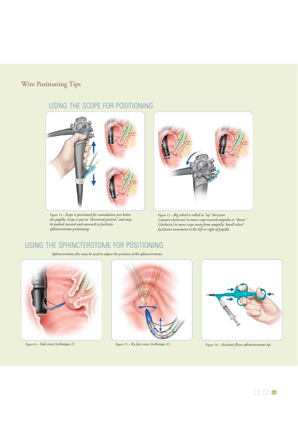### Wire Positioning Tips

### USING THE SCOPE FOR POSITIONING



Figure 12 – Scope is positioned for cannulation just below the papilla. Scope is put in "shortened position" and may be pushed inward and outward to facilitate sphincterotome positioning.



Figure 13 – Big wheel is rolled in "up" direction (counter-clockwise) to move scope toward ampulla or "down" (clockwise) to move scope away from ampulla. Small wheel facilitates movement to the left or right of papilla.

### USING THE SPHINCTEROTOME FOR POSITIONING

Sphincterotome flex may be used to adjust the position of the sphincterotome.







Figure 14 – Side view (technique 1) Figure 15 – En face view (technique 1) Figure 16 – Assistant flexes sphincterotome tip.

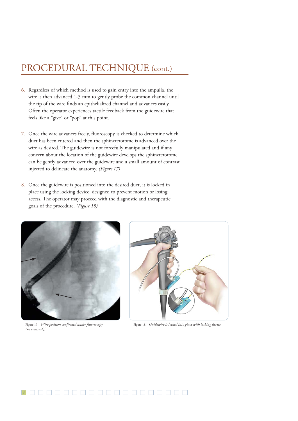## PROCEDURAL TECHNIQUE (cont.)

- 6. Regardless of which method is used to gain entry into the ampulla, the wire is then advanced 1-3 mm to gently probe the common channel until the tip of the wire finds an epithelialized channel and advances easily. Often the operator experiences tactile feedback from the guidewire that feels like a "give" or "pop" at this point.
- 7. Once the wire advances freely, fluoroscopy is checked to determine which duct has been entered and then the sphincterotome is advanced over the wire as desired. The guidewire is not forcefully manipulated and if any concern about the location of the guidewire develops the sphincterotome can be gently advanced over the guidewire and a small amount of contrast injected to delineate the anatomy. (Figure 17)
- 8. Once the guidewire is positioned into the desired duct, it is locked in place using the locking device, designed to prevent motion or losing access. The operator may proceed with the diagnostic and therapeutic goals of the procedure. (Figure 18)



(no contrast).\*



Figure 17 – Wire position confirmed under fluoroscopy Figure 18 – Guidewire is locked into place with locking device.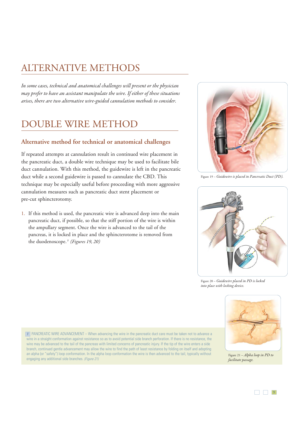## ALTERNATIVE METHODS

In some cases, technical and anatomical challenges will present or the physician may prefer to have an assistant manipulate the wire. If either of these situations arises, there are two alternative wire-guided cannulation methods to consider.

## DOUBLE WIRE METHOD

#### **Alternative method for technical or anatomical challenges**

If repeated attempts at cannulation result in continued wire placement in the pancreatic duct, a double wire technique may be used to facilitate bile duct cannulation. With this method, the guidewire is left in the pancreatic duct while a second guidewire is passed to cannulate the CBD. This technique may be especially useful before proceeding with more aggressive cannulation measures such as pancreatic duct stent placement or pre-cut sphincterotomy.

1. If this method is used, the pancreatic wire is advanced deep into the main pancreatic duct, if possible, so that the stiff portion of the wire is within the ampullary segment. Once the wire is advanced to the tail of the pancreas, it is locked in place and the sphincterotome is removed from the duodenoscope.<sup>F</sup> (Figures 19, 20)



Figure 19 – Guidewire is placed in Pancreatic Duct (PD).



Figure 20 – Guidewire placed in PD is locked into place with locking device.



PANCREATIC WIRE ADVANCEMENT – When advancing the wire in the pancreatic duct care must be taken not to advance a **F** wire in a straight conformation against resistance so as to avoid potential side branch perforation. If there is no resistance, the wire may be advanced to the tail of the pancreas with limited concerns of pancreatic injury. If the tip of the wire enters a side branch, continued gentle advancement may allow the wire to find the path of least resistance by folding on itself and adopting an alpha (or "safety") loop conformation. In the alpha loop conformation the wire is then advanced to the tail, typically without engaging any additional side branches. (Figure 21)

Figure 21 – Alpha loop in PD to facilitate passage.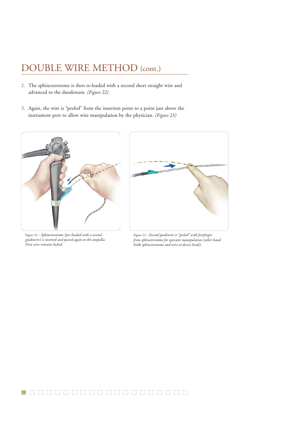## DOUBLE WIRE METHOD (cont.)

- 2. The sphincterotome is then re-loaded with a second short straight wire and advanced to the duodenum. (Figure 22)
- 3. Again, the wire is "peeled" from the insertion point to a point just above the instrument port to allow wire manipulation by the physician. (Figure 23)



Figure 22 – Sphincterotome (pre-loaded with a second guidewire) is inserted and passed again to the ampulla. First wire remains locked.



Figure 23 – Second guidewire is "peeled" with forefinger from sphincterotome for operator manipulation (other hand holds sphincterotome and wire at device head).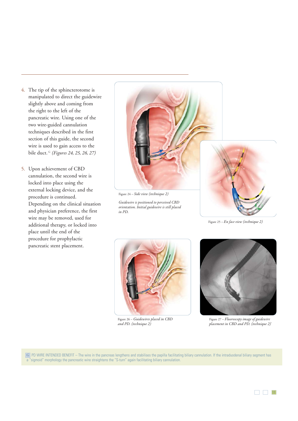- 4. The tip of the sphincterotome is manipulated to direct the guidewire slightly above and coming from the right to the left of the pancreatic wire. Using one of the two wire-guided cannulation techniques described in the first section of this guide, the second wire is used to gain access to the bile duct. <sup>G</sup> (Figures 24, 25, 26, 27)
- 5. Upon achievement of CBD cannulation, the second wire is locked into place using the external locking device, and the procedure is continued. Depending on the clinical situation and physician preference, the first wire may be removed, used for additional therapy, or locked into place until the end of the procedure for prophylactic pancreatic stent placement.



Figure 24 – Side view (technique 2)

Guidewire is positioned to perceived CBD orientation. Initial guidewire is still placed in PD.



Figure 25 – En face view (technique 2)



Figure 26 – Guidewires placed in CBD and PD. (technique 2)



Figure 27 – Fluoroscopy image of guidewire placement in CBD and PD. (technique 2)<sup>\*</sup>

PD WIRE INTENDED BENEFIT – The wire in the pancreas lengthens and stabilises the papilla facilitating biliary cannulation. If the intraduodenal biliary segment has **G** a "sigmoid" morphology the pancreatic wire straightens the "S-turn" again facilitating biliary cannulation.

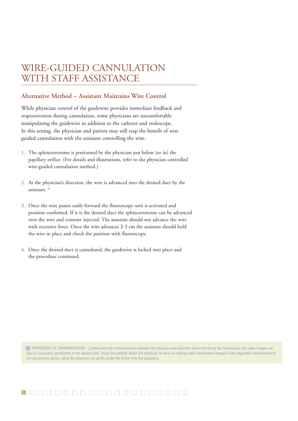## WIRE-GUIDED CANNULATION WITH STAFF ASSISTANCE

#### **Alternative Method – Assistant Maintains Wire Control**

While physician control of the guidewire provides immediate feedback and responsiveness during cannulation, some physicians are uncomfortable manipulating the guidewire in addition to the catheter and endoscope. In this setting, the physician and patient may still reap the benefit of wire guided cannulation with the assistant controlling the wire.

- 1. The sphincterotome is positioned by the physician just below (or in) the papillary orifice. (For details and illustrations, refer to the physician controlled wire-guided cannulation method.)
- 2. At the physician's direction, the wire is advanced into the desired duct by the assistant. H
- 3. Once the wire passes easily forward the fluoroscopy unit is activated and position confirmed. If it is the desired duct the sphincterotome can be advanced over the wire and contrast injected. The assistant should not advance the wire with excessive force. Once the wire advances 2-3 cm the assistant should hold the wire in place and check the position with fluoroscopy.
- 4. Once the desired duct is cannulated, the guidewire is locked into place and the procedure continued.

H | IMPORTANCE OF COMMUNICATION – Careful and clear communication between the physician and assistant while monitoring the fluoroscopic and video images can lead to successful cannulation of the desired duct. Using this method allows the physician to focus on making small incremental changes in the angulation and direction of the cannulating device, while the assistant can gently probe the orifice with the guidewire.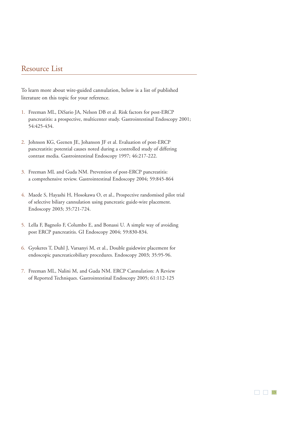#### Resource List

To learn more about wire-guided cannulation, below is a list of published literature on this topic for your reference.

- 1. Freeman ML, DiSario JA, Nelson DB et al. Risk factors for post-ERCP pancreatitis: a prospective, multicenter study. Gastrointestinal Endoscopy 2001; 54:425-434.
- 2. Johnson KG, Geenen JE, Johanson JF et al. Evaluation of post-ERCP pancreatitis: potential causes noted during a controlled study of differing contrast media. Gastrointestinal Endoscopy 1997; 46:217-222.
- 3. Freeman ML and Guda NM. Prevention of post-ERCP pancreatitis: a comprehensive review. Gastrointestinal Endoscopy 2004; 59:845-864
- 4. Maede S, Hayashi H, Hosokawa O, et al., Prospective randomised pilot trial of selective biliary cannulation using pancreatic guide-wire placement. Endoscopy 2003; 35:721-724.
- 5. Lella F, Bagnolo F, Columbo E, and Bonassi U. A simple way of avoiding post ERCP pancreatitis. GI Endoscopy 2004; 59:830-834.
- 6. Gyokeres T, Duhl J, Varsanyi M, et al., Double guidewire placement for endoscopic pancreaticobiliary procedures. Endoscopy 2003; 35:95-96.
- 7. Freeman ML, Nalini M, and Guda NM. ERCP Cannulation: A Review of Reported Techniques. Gastrointestinal Endoscopy 2005; 61:112-125